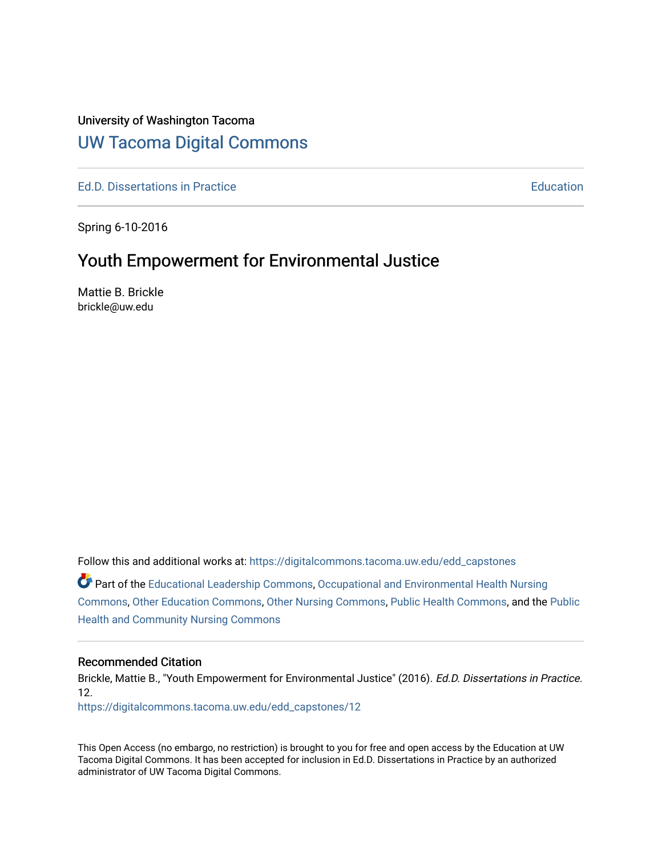## University of Washington Tacoma

## [UW Tacoma Digital Commons](https://digitalcommons.tacoma.uw.edu/)

[Ed.D. Dissertations in Practice](https://digitalcommons.tacoma.uw.edu/edd_capstones) **Education** [Education](https://digitalcommons.tacoma.uw.edu/education) **Education** 

Spring 6-10-2016

# Youth Empowerment for Environmental Justice

Mattie B. Brickle brickle@uw.edu

Follow this and additional works at: [https://digitalcommons.tacoma.uw.edu/edd\\_capstones](https://digitalcommons.tacoma.uw.edu/edd_capstones?utm_source=digitalcommons.tacoma.uw.edu%2Fedd_capstones%2F12&utm_medium=PDF&utm_campaign=PDFCoverPages)

Part of the [Educational Leadership Commons,](http://network.bepress.com/hgg/discipline/1230?utm_source=digitalcommons.tacoma.uw.edu%2Fedd_capstones%2F12&utm_medium=PDF&utm_campaign=PDFCoverPages) [Occupational and Environmental Health Nursing](http://network.bepress.com/hgg/discipline/728?utm_source=digitalcommons.tacoma.uw.edu%2Fedd_capstones%2F12&utm_medium=PDF&utm_campaign=PDFCoverPages)  [Commons](http://network.bepress.com/hgg/discipline/728?utm_source=digitalcommons.tacoma.uw.edu%2Fedd_capstones%2F12&utm_medium=PDF&utm_campaign=PDFCoverPages), [Other Education Commons](http://network.bepress.com/hgg/discipline/811?utm_source=digitalcommons.tacoma.uw.edu%2Fedd_capstones%2F12&utm_medium=PDF&utm_campaign=PDFCoverPages), [Other Nursing Commons,](http://network.bepress.com/hgg/discipline/729?utm_source=digitalcommons.tacoma.uw.edu%2Fedd_capstones%2F12&utm_medium=PDF&utm_campaign=PDFCoverPages) [Public Health Commons,](http://network.bepress.com/hgg/discipline/738?utm_source=digitalcommons.tacoma.uw.edu%2Fedd_capstones%2F12&utm_medium=PDF&utm_campaign=PDFCoverPages) and the [Public](http://network.bepress.com/hgg/discipline/725?utm_source=digitalcommons.tacoma.uw.edu%2Fedd_capstones%2F12&utm_medium=PDF&utm_campaign=PDFCoverPages)  [Health and Community Nursing Commons](http://network.bepress.com/hgg/discipline/725?utm_source=digitalcommons.tacoma.uw.edu%2Fedd_capstones%2F12&utm_medium=PDF&utm_campaign=PDFCoverPages) 

#### Recommended Citation

Brickle, Mattie B., "Youth Empowerment for Environmental Justice" (2016). Ed.D. Dissertations in Practice. 12.

[https://digitalcommons.tacoma.uw.edu/edd\\_capstones/12](https://digitalcommons.tacoma.uw.edu/edd_capstones/12?utm_source=digitalcommons.tacoma.uw.edu%2Fedd_capstones%2F12&utm_medium=PDF&utm_campaign=PDFCoverPages) 

This Open Access (no embargo, no restriction) is brought to you for free and open access by the Education at UW Tacoma Digital Commons. It has been accepted for inclusion in Ed.D. Dissertations in Practice by an authorized administrator of UW Tacoma Digital Commons.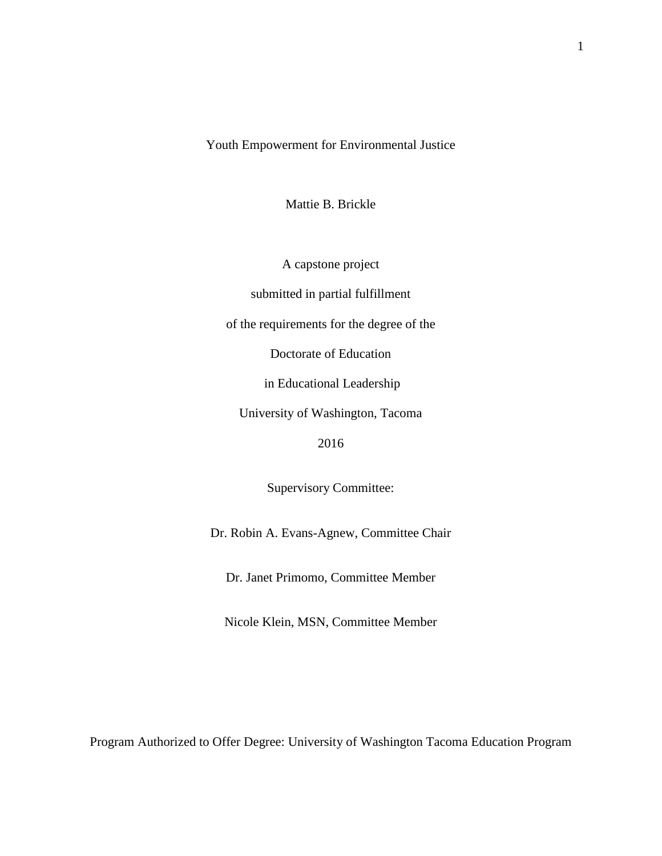Youth Empowerment for Environmental Justice

Mattie B. Brickle

A capstone project

submitted in partial fulfillment

of the requirements for the degree of the

Doctorate of Education

in Educational Leadership

University of Washington, Tacoma

2016

Supervisory Committee:

Dr. Robin A. Evans-Agnew, Committee Chair

Dr. Janet Primomo, Committee Member

Nicole Klein, MSN, Committee Member

Program Authorized to Offer Degree: University of Washington Tacoma Education Program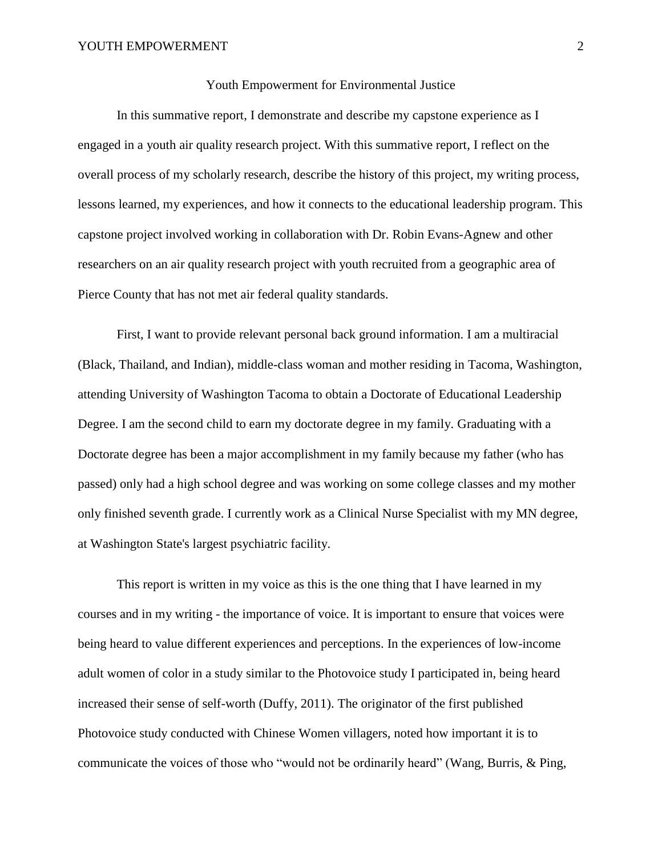#### Youth Empowerment for Environmental Justice

In this summative report, I demonstrate and describe my capstone experience as I engaged in a youth air quality research project. With this summative report, I reflect on the overall process of my scholarly research, describe the history of this project, my writing process, lessons learned, my experiences, and how it connects to the educational leadership program. This capstone project involved working in collaboration with Dr. Robin Evans-Agnew and other researchers on an air quality research project with youth recruited from a geographic area of Pierce County that has not met air federal quality standards.

First, I want to provide relevant personal back ground information. I am a multiracial (Black, Thailand, and Indian), middle-class woman and mother residing in Tacoma, Washington, attending University of Washington Tacoma to obtain a Doctorate of Educational Leadership Degree. I am the second child to earn my doctorate degree in my family. Graduating with a Doctorate degree has been a major accomplishment in my family because my father (who has passed) only had a high school degree and was working on some college classes and my mother only finished seventh grade. I currently work as a Clinical Nurse Specialist with my MN degree, at Washington State's largest psychiatric facility.

This report is written in my voice as this is the one thing that I have learned in my courses and in my writing - the importance of voice. It is important to ensure that voices were being heard to value different experiences and perceptions. In the experiences of low-income adult women of color in a study similar to the Photovoice study I participated in, being heard increased their sense of self-worth (Duffy, 2011). The originator of the first published Photovoice study conducted with Chinese Women villagers, noted how important it is to communicate the voices of those who "would not be ordinarily heard" (Wang, Burris, & Ping,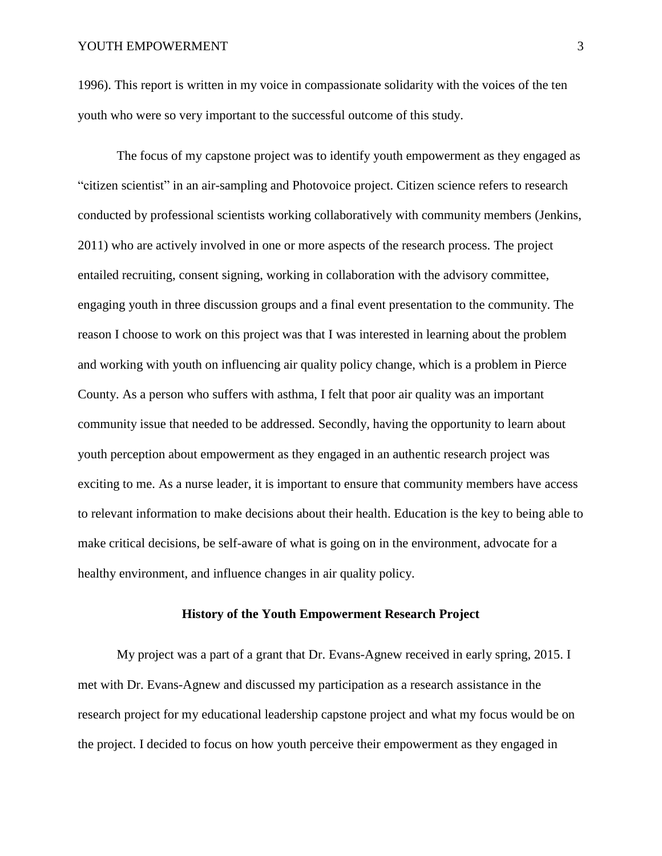1996). This report is written in my voice in compassionate solidarity with the voices of the ten youth who were so very important to the successful outcome of this study.

The focus of my capstone project was to identify youth empowerment as they engaged as "citizen scientist" in an air-sampling and Photovoice project. Citizen science refers to research conducted by professional scientists working collaboratively with community members (Jenkins, 2011) who are actively involved in one or more aspects of the research process. The project entailed recruiting, consent signing, working in collaboration with the advisory committee, engaging youth in three discussion groups and a final event presentation to the community. The reason I choose to work on this project was that I was interested in learning about the problem and working with youth on influencing air quality policy change, which is a problem in Pierce County. As a person who suffers with asthma, I felt that poor air quality was an important community issue that needed to be addressed. Secondly, having the opportunity to learn about youth perception about empowerment as they engaged in an authentic research project was exciting to me. As a nurse leader, it is important to ensure that community members have access to relevant information to make decisions about their health. Education is the key to being able to make critical decisions, be self-aware of what is going on in the environment, advocate for a healthy environment, and influence changes in air quality policy.

## **History of the Youth Empowerment Research Project**

My project was a part of a grant that Dr. Evans-Agnew received in early spring, 2015. I met with Dr. Evans-Agnew and discussed my participation as a research assistance in the research project for my educational leadership capstone project and what my focus would be on the project. I decided to focus on how youth perceive their empowerment as they engaged in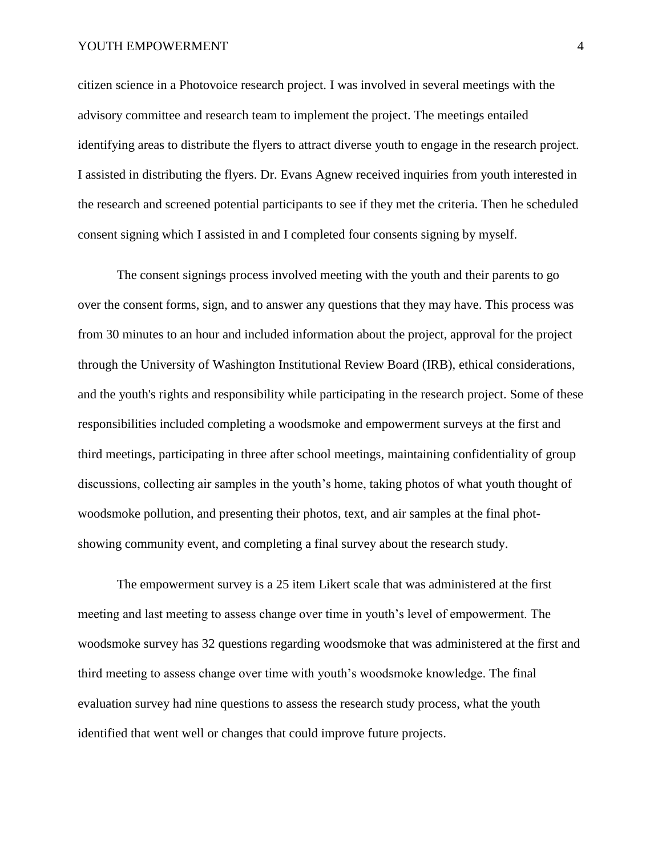#### YOUTH EMPOWERMENT 4

citizen science in a Photovoice research project. I was involved in several meetings with the advisory committee and research team to implement the project. The meetings entailed identifying areas to distribute the flyers to attract diverse youth to engage in the research project. I assisted in distributing the flyers. Dr. Evans Agnew received inquiries from youth interested in the research and screened potential participants to see if they met the criteria. Then he scheduled consent signing which I assisted in and I completed four consents signing by myself.

The consent signings process involved meeting with the youth and their parents to go over the consent forms, sign, and to answer any questions that they may have. This process was from 30 minutes to an hour and included information about the project, approval for the project through the University of Washington Institutional Review Board (IRB), ethical considerations, and the youth's rights and responsibility while participating in the research project. Some of these responsibilities included completing a woodsmoke and empowerment surveys at the first and third meetings, participating in three after school meetings, maintaining confidentiality of group discussions, collecting air samples in the youth's home, taking photos of what youth thought of woodsmoke pollution, and presenting their photos, text, and air samples at the final photshowing community event, and completing a final survey about the research study.

The empowerment survey is a 25 item Likert scale that was administered at the first meeting and last meeting to assess change over time in youth's level of empowerment. The woodsmoke survey has 32 questions regarding woodsmoke that was administered at the first and third meeting to assess change over time with youth's woodsmoke knowledge. The final evaluation survey had nine questions to assess the research study process, what the youth identified that went well or changes that could improve future projects.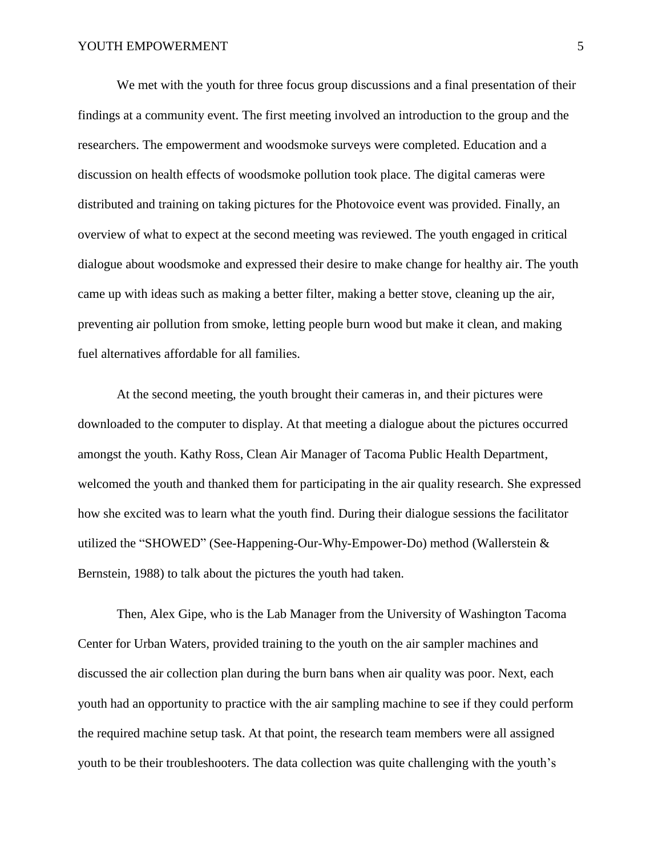We met with the youth for three focus group discussions and a final presentation of their findings at a community event. The first meeting involved an introduction to the group and the researchers. The empowerment and woodsmoke surveys were completed. Education and a discussion on health effects of woodsmoke pollution took place. The digital cameras were distributed and training on taking pictures for the Photovoice event was provided. Finally, an overview of what to expect at the second meeting was reviewed. The youth engaged in critical dialogue about woodsmoke and expressed their desire to make change for healthy air. The youth came up with ideas such as making a better filter, making a better stove, cleaning up the air, preventing air pollution from smoke, letting people burn wood but make it clean, and making fuel alternatives affordable for all families.

At the second meeting, the youth brought their cameras in, and their pictures were downloaded to the computer to display. At that meeting a dialogue about the pictures occurred amongst the youth. Kathy Ross, Clean Air Manager of Tacoma Public Health Department, welcomed the youth and thanked them for participating in the air quality research. She expressed how she excited was to learn what the youth find. During their dialogue sessions the facilitator utilized the "SHOWED" (See-Happening-Our-Why-Empower-Do) method (Wallerstein & Bernstein, 1988) to talk about the pictures the youth had taken.

Then, Alex Gipe, who is the Lab Manager from the University of Washington Tacoma Center for Urban Waters, provided training to the youth on the air sampler machines and discussed the air collection plan during the burn bans when air quality was poor. Next, each youth had an opportunity to practice with the air sampling machine to see if they could perform the required machine setup task. At that point, the research team members were all assigned youth to be their troubleshooters. The data collection was quite challenging with the youth's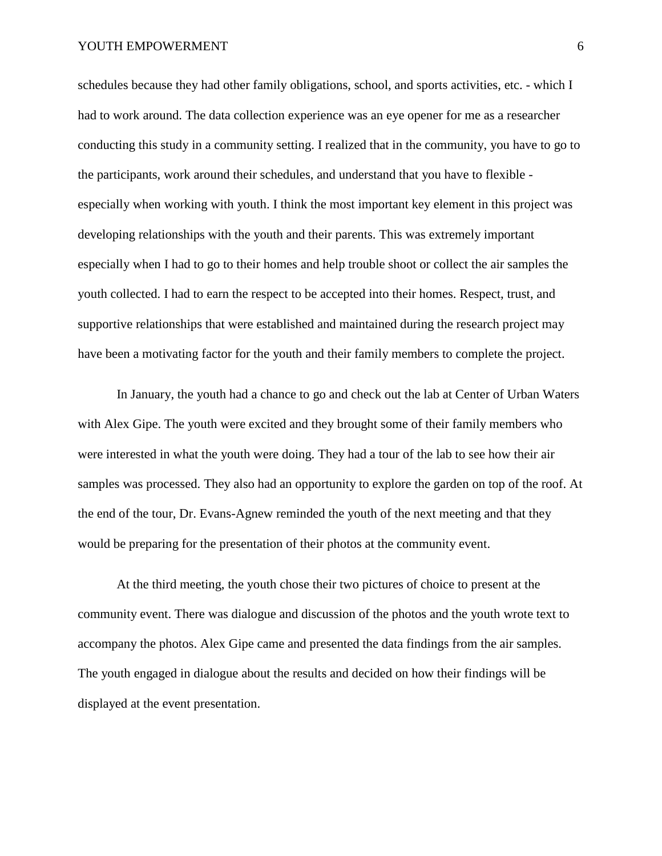schedules because they had other family obligations, school, and sports activities, etc. - which I had to work around. The data collection experience was an eye opener for me as a researcher conducting this study in a community setting. I realized that in the community, you have to go to the participants, work around their schedules, and understand that you have to flexible especially when working with youth. I think the most important key element in this project was developing relationships with the youth and their parents. This was extremely important especially when I had to go to their homes and help trouble shoot or collect the air samples the youth collected. I had to earn the respect to be accepted into their homes. Respect, trust, and supportive relationships that were established and maintained during the research project may have been a motivating factor for the youth and their family members to complete the project.

In January, the youth had a chance to go and check out the lab at Center of Urban Waters with Alex Gipe. The youth were excited and they brought some of their family members who were interested in what the youth were doing. They had a tour of the lab to see how their air samples was processed. They also had an opportunity to explore the garden on top of the roof. At the end of the tour, Dr. Evans-Agnew reminded the youth of the next meeting and that they would be preparing for the presentation of their photos at the community event.

At the third meeting, the youth chose their two pictures of choice to present at the community event. There was dialogue and discussion of the photos and the youth wrote text to accompany the photos. Alex Gipe came and presented the data findings from the air samples. The youth engaged in dialogue about the results and decided on how their findings will be displayed at the event presentation.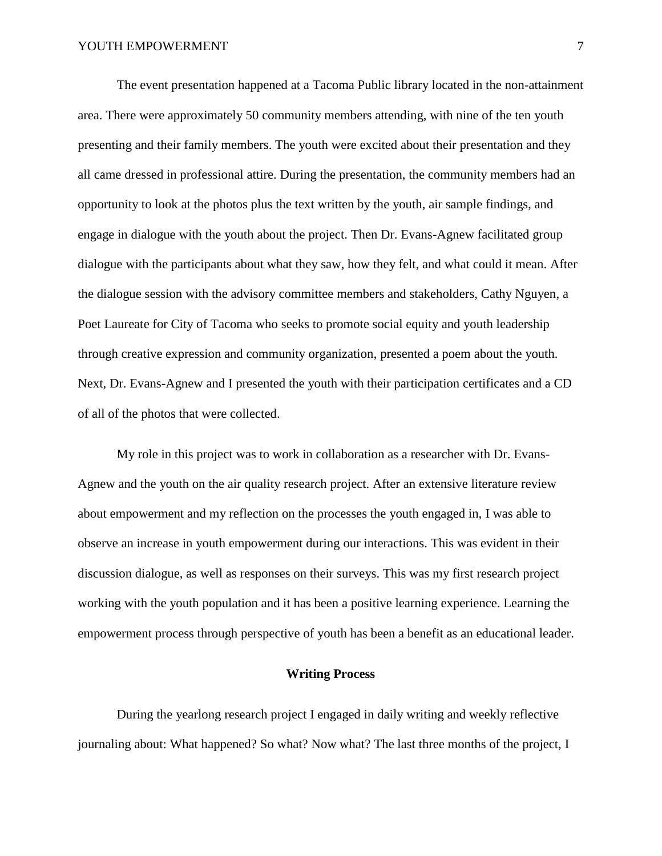The event presentation happened at a Tacoma Public library located in the non-attainment area. There were approximately 50 community members attending, with nine of the ten youth presenting and their family members. The youth were excited about their presentation and they all came dressed in professional attire. During the presentation, the community members had an opportunity to look at the photos plus the text written by the youth, air sample findings, and engage in dialogue with the youth about the project. Then Dr. Evans-Agnew facilitated group dialogue with the participants about what they saw, how they felt, and what could it mean. After the dialogue session with the advisory committee members and stakeholders, Cathy Nguyen, a Poet Laureate for City of Tacoma who seeks to promote social equity and youth leadership through creative expression and community organization, presented a poem about the youth. Next, Dr. Evans-Agnew and I presented the youth with their participation certificates and a CD of all of the photos that were collected.

My role in this project was to work in collaboration as a researcher with Dr. Evans-Agnew and the youth on the air quality research project. After an extensive literature review about empowerment and my reflection on the processes the youth engaged in, I was able to observe an increase in youth empowerment during our interactions. This was evident in their discussion dialogue, as well as responses on their surveys. This was my first research project working with the youth population and it has been a positive learning experience. Learning the empowerment process through perspective of youth has been a benefit as an educational leader.

### **Writing Process**

During the yearlong research project I engaged in daily writing and weekly reflective journaling about: What happened? So what? Now what? The last three months of the project, I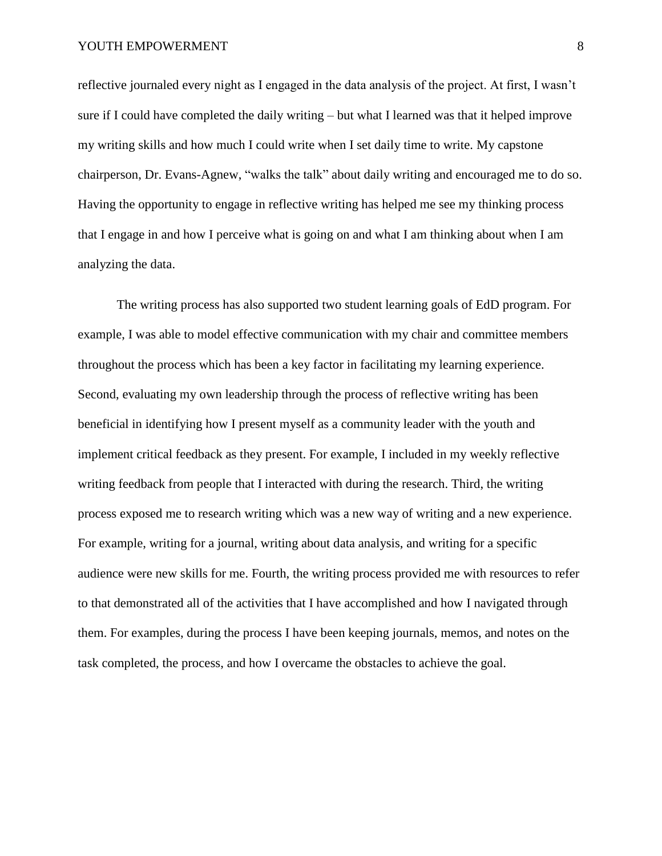reflective journaled every night as I engaged in the data analysis of the project. At first, I wasn't sure if I could have completed the daily writing – but what I learned was that it helped improve my writing skills and how much I could write when I set daily time to write. My capstone chairperson, Dr. Evans-Agnew, "walks the talk" about daily writing and encouraged me to do so. Having the opportunity to engage in reflective writing has helped me see my thinking process that I engage in and how I perceive what is going on and what I am thinking about when I am analyzing the data.

The writing process has also supported two student learning goals of EdD program. For example, I was able to model effective communication with my chair and committee members throughout the process which has been a key factor in facilitating my learning experience. Second, evaluating my own leadership through the process of reflective writing has been beneficial in identifying how I present myself as a community leader with the youth and implement critical feedback as they present. For example, I included in my weekly reflective writing feedback from people that I interacted with during the research. Third, the writing process exposed me to research writing which was a new way of writing and a new experience. For example, writing for a journal, writing about data analysis, and writing for a specific audience were new skills for me. Fourth, the writing process provided me with resources to refer to that demonstrated all of the activities that I have accomplished and how I navigated through them. For examples, during the process I have been keeping journals, memos, and notes on the task completed, the process, and how I overcame the obstacles to achieve the goal.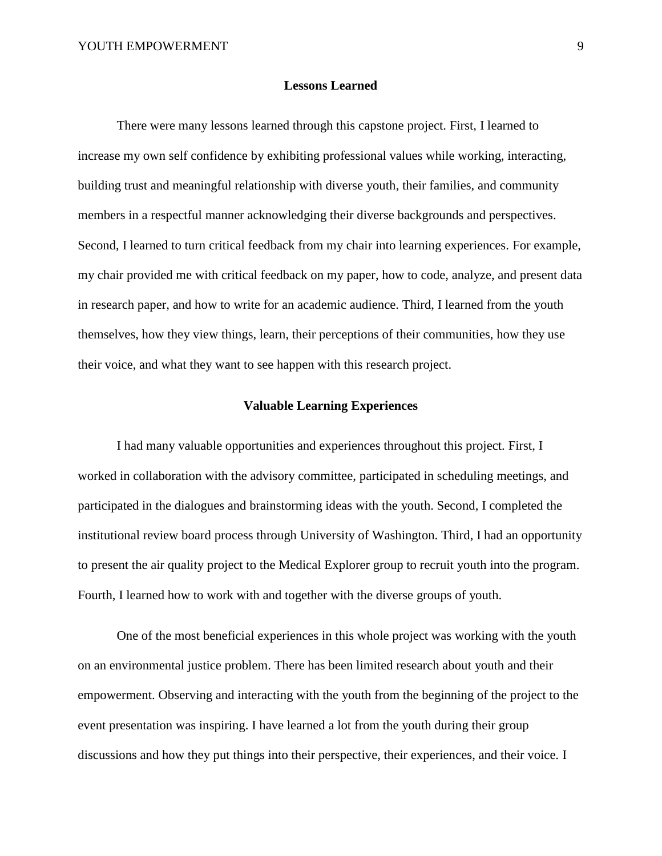#### **Lessons Learned**

There were many lessons learned through this capstone project. First, I learned to increase my own self confidence by exhibiting professional values while working, interacting, building trust and meaningful relationship with diverse youth, their families, and community members in a respectful manner acknowledging their diverse backgrounds and perspectives. Second, I learned to turn critical feedback from my chair into learning experiences. For example, my chair provided me with critical feedback on my paper, how to code, analyze, and present data in research paper, and how to write for an academic audience. Third, I learned from the youth themselves, how they view things, learn, their perceptions of their communities, how they use their voice, and what they want to see happen with this research project.

### **Valuable Learning Experiences**

I had many valuable opportunities and experiences throughout this project. First, I worked in collaboration with the advisory committee, participated in scheduling meetings, and participated in the dialogues and brainstorming ideas with the youth. Second, I completed the institutional review board process through University of Washington. Third, I had an opportunity to present the air quality project to the Medical Explorer group to recruit youth into the program. Fourth, I learned how to work with and together with the diverse groups of youth.

One of the most beneficial experiences in this whole project was working with the youth on an environmental justice problem. There has been limited research about youth and their empowerment. Observing and interacting with the youth from the beginning of the project to the event presentation was inspiring. I have learned a lot from the youth during their group discussions and how they put things into their perspective, their experiences, and their voice. I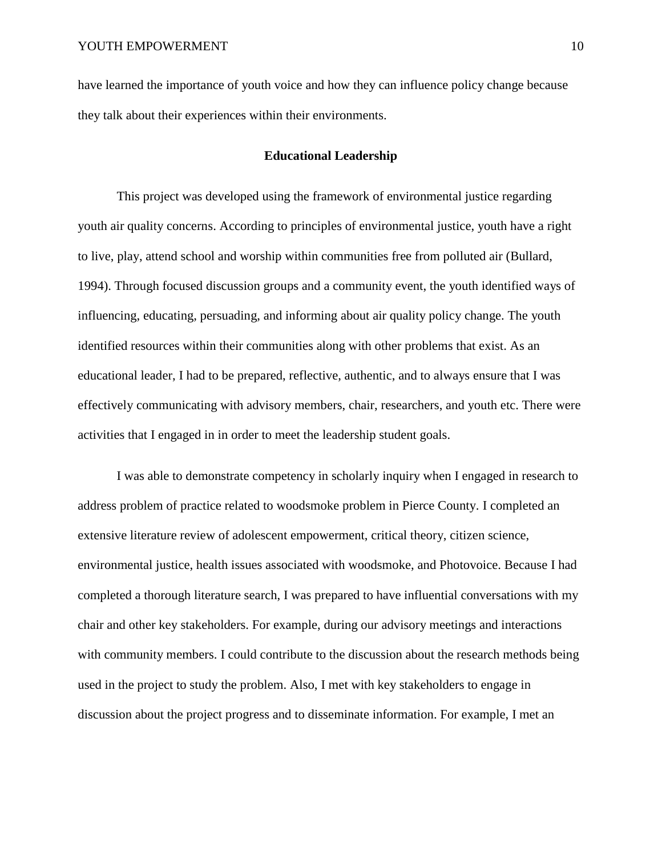have learned the importance of youth voice and how they can influence policy change because they talk about their experiences within their environments.

### **Educational Leadership**

This project was developed using the framework of environmental justice regarding youth air quality concerns. According to principles of environmental justice, youth have a right to live, play, attend school and worship within communities free from polluted air (Bullard, 1994). Through focused discussion groups and a community event, the youth identified ways of influencing, educating, persuading, and informing about air quality policy change. The youth identified resources within their communities along with other problems that exist. As an educational leader, I had to be prepared, reflective, authentic, and to always ensure that I was effectively communicating with advisory members, chair, researchers, and youth etc. There were activities that I engaged in in order to meet the leadership student goals.

I was able to demonstrate competency in scholarly inquiry when I engaged in research to address problem of practice related to woodsmoke problem in Pierce County. I completed an extensive literature review of adolescent empowerment, critical theory, citizen science, environmental justice, health issues associated with woodsmoke, and Photovoice. Because I had completed a thorough literature search, I was prepared to have influential conversations with my chair and other key stakeholders. For example, during our advisory meetings and interactions with community members. I could contribute to the discussion about the research methods being used in the project to study the problem. Also, I met with key stakeholders to engage in discussion about the project progress and to disseminate information. For example, I met an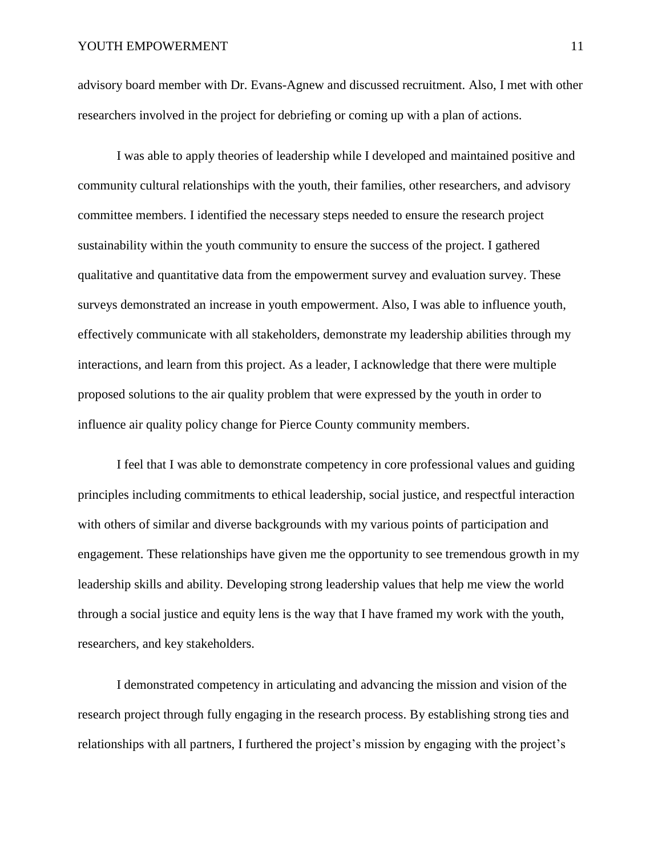advisory board member with Dr. Evans-Agnew and discussed recruitment. Also, I met with other researchers involved in the project for debriefing or coming up with a plan of actions.

I was able to apply theories of leadership while I developed and maintained positive and community cultural relationships with the youth, their families, other researchers, and advisory committee members. I identified the necessary steps needed to ensure the research project sustainability within the youth community to ensure the success of the project. I gathered qualitative and quantitative data from the empowerment survey and evaluation survey. These surveys demonstrated an increase in youth empowerment. Also, I was able to influence youth, effectively communicate with all stakeholders, demonstrate my leadership abilities through my interactions, and learn from this project. As a leader, I acknowledge that there were multiple proposed solutions to the air quality problem that were expressed by the youth in order to influence air quality policy change for Pierce County community members.

I feel that I was able to demonstrate competency in core professional values and guiding principles including commitments to ethical leadership, social justice, and respectful interaction with others of similar and diverse backgrounds with my various points of participation and engagement. These relationships have given me the opportunity to see tremendous growth in my leadership skills and ability. Developing strong leadership values that help me view the world through a social justice and equity lens is the way that I have framed my work with the youth, researchers, and key stakeholders.

I demonstrated competency in articulating and advancing the mission and vision of the research project through fully engaging in the research process. By establishing strong ties and relationships with all partners, I furthered the project's mission by engaging with the project's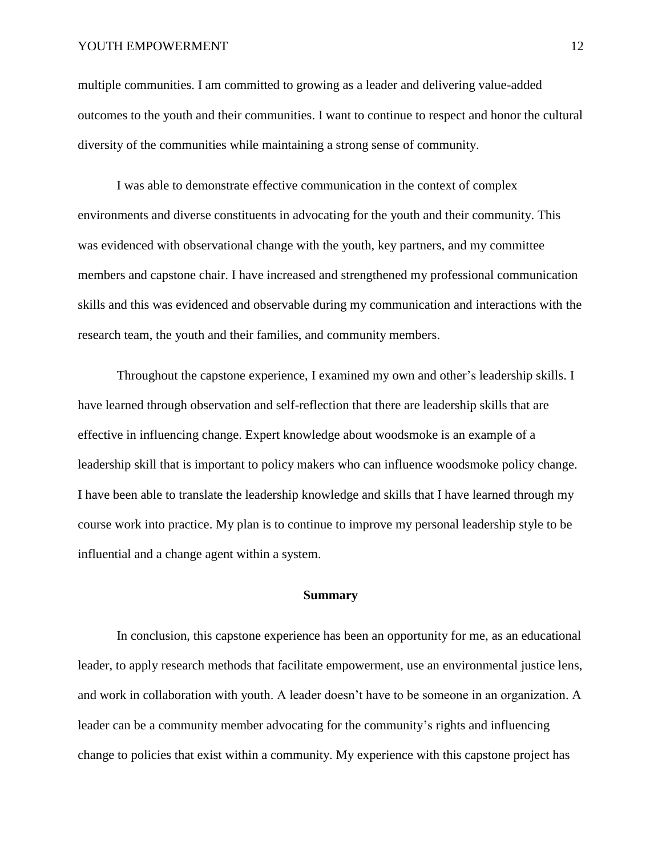#### YOUTH EMPOWERMENT 12

multiple communities. I am committed to growing as a leader and delivering value-added outcomes to the youth and their communities. I want to continue to respect and honor the cultural diversity of the communities while maintaining a strong sense of community.

I was able to demonstrate effective communication in the context of complex environments and diverse constituents in advocating for the youth and their community. This was evidenced with observational change with the youth, key partners, and my committee members and capstone chair. I have increased and strengthened my professional communication skills and this was evidenced and observable during my communication and interactions with the research team, the youth and their families, and community members.

Throughout the capstone experience, I examined my own and other's leadership skills. I have learned through observation and self-reflection that there are leadership skills that are effective in influencing change. Expert knowledge about woodsmoke is an example of a leadership skill that is important to policy makers who can influence woodsmoke policy change. I have been able to translate the leadership knowledge and skills that I have learned through my course work into practice. My plan is to continue to improve my personal leadership style to be influential and a change agent within a system.

#### **Summary**

In conclusion, this capstone experience has been an opportunity for me, as an educational leader, to apply research methods that facilitate empowerment, use an environmental justice lens, and work in collaboration with youth. A leader doesn't have to be someone in an organization. A leader can be a community member advocating for the community's rights and influencing change to policies that exist within a community. My experience with this capstone project has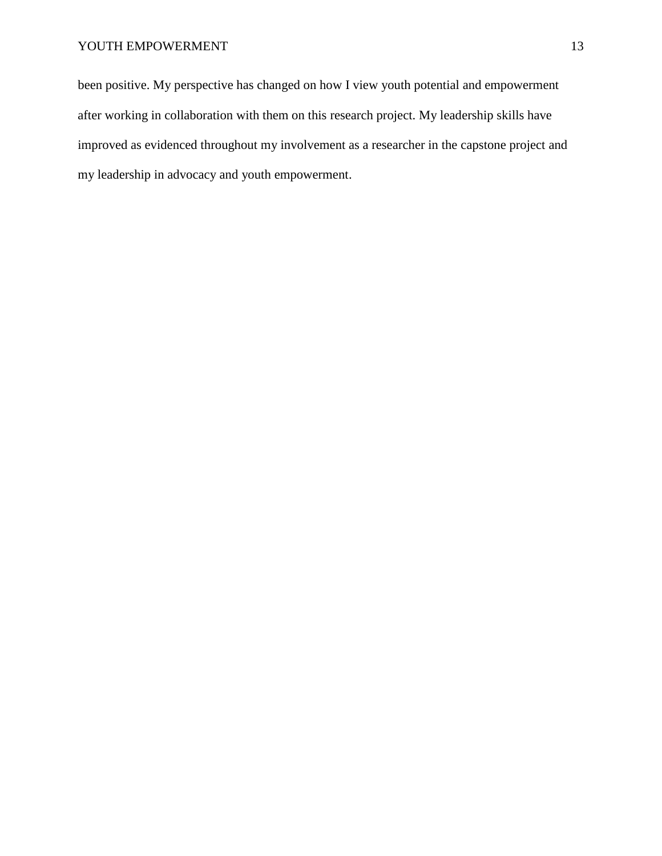been positive. My perspective has changed on how I view youth potential and empowerment after working in collaboration with them on this research project. My leadership skills have improved as evidenced throughout my involvement as a researcher in the capstone project and my leadership in advocacy and youth empowerment.